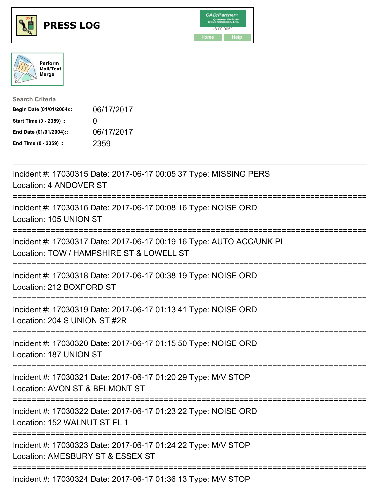





| <b>Search Criteria</b>    |              |
|---------------------------|--------------|
| Begin Date (01/01/2004):: | 06/17/2017   |
| Start Time (0 - 2359) ::  | $\mathbf{I}$ |
| End Date (01/01/2004)::   | 06/17/2017   |
| End Time (0 - 2359) ::    | 2359         |

| Incident #: 17030315 Date: 2017-06-17 00:05:37 Type: MISSING PERS<br>Location: 4 ANDOVER ST                                                 |
|---------------------------------------------------------------------------------------------------------------------------------------------|
| Incident #: 17030316 Date: 2017-06-17 00:08:16 Type: NOISE ORD<br>Location: 105 UNION ST                                                    |
| Incident #: 17030317 Date: 2017-06-17 00:19:16 Type: AUTO ACC/UNK PI<br>Location: TOW / HAMPSHIRE ST & LOWELL ST                            |
| Incident #: 17030318 Date: 2017-06-17 00:38:19 Type: NOISE ORD<br>Location: 212 BOXFORD ST                                                  |
| Incident #: 17030319 Date: 2017-06-17 01:13:41 Type: NOISE ORD<br>Location: 204 S UNION ST #2R                                              |
| Incident #: 17030320 Date: 2017-06-17 01:15:50 Type: NOISE ORD<br>Location: 187 UNION ST                                                    |
| Incident #: 17030321 Date: 2017-06-17 01:20:29 Type: M/V STOP<br>Location: AVON ST & BELMONT ST<br>========================<br>============ |
| Incident #: 17030322 Date: 2017-06-17 01:23:22 Type: NOISE ORD<br>Location: 152 WALNUT ST FL 1<br>:======================                   |
| Incident #: 17030323 Date: 2017-06-17 01:24:22 Type: M/V STOP<br>Location: AMESBURY ST & ESSEX ST<br>--------------------------             |
| Incident #: 17030324 Date: 2017-06-17 01:36:13 Type: M/V STOP                                                                               |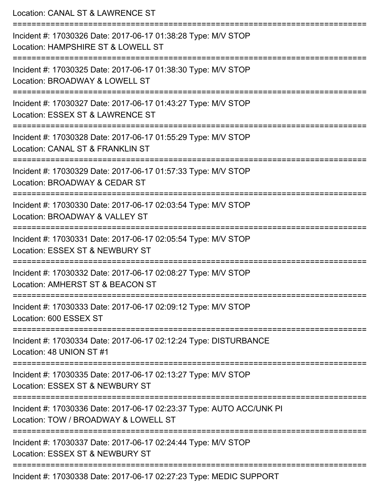| Location: CANAL ST & LAWRENCE ST                                                                                                |
|---------------------------------------------------------------------------------------------------------------------------------|
| Incident #: 17030326 Date: 2017-06-17 01:38:28 Type: M/V STOP<br>Location: HAMPSHIRE ST & LOWELL ST                             |
| Incident #: 17030325 Date: 2017-06-17 01:38:30 Type: M/V STOP<br>Location: BROADWAY & LOWELL ST<br>============================ |
| Incident #: 17030327 Date: 2017-06-17 01:43:27 Type: M/V STOP<br>Location: ESSEX ST & LAWRENCE ST                               |
| Incident #: 17030328 Date: 2017-06-17 01:55:29 Type: M/V STOP<br>Location: CANAL ST & FRANKLIN ST<br>================           |
| Incident #: 17030329 Date: 2017-06-17 01:57:33 Type: M/V STOP<br>Location: BROADWAY & CEDAR ST                                  |
| Incident #: 17030330 Date: 2017-06-17 02:03:54 Type: M/V STOP<br>Location: BROADWAY & VALLEY ST                                 |
| Incident #: 17030331 Date: 2017-06-17 02:05:54 Type: M/V STOP<br>Location: ESSEX ST & NEWBURY ST                                |
| Incident #: 17030332 Date: 2017-06-17 02:08:27 Type: M/V STOP<br>Location: AMHERST ST & BEACON ST                               |
| Incident #: 17030333 Date: 2017-06-17 02:09:12 Type: M/V STOP<br>Location: 600 ESSEX ST                                         |
| Incident #: 17030334 Date: 2017-06-17 02:12:24 Type: DISTURBANCE<br>Location: 48 UNION ST #1                                    |
| Incident #: 17030335 Date: 2017-06-17 02:13:27 Type: M/V STOP<br>Location: ESSEX ST & NEWBURY ST                                |
| Incident #: 17030336 Date: 2017-06-17 02:23:37 Type: AUTO ACC/UNK PI<br>Location: TOW / BROADWAY & LOWELL ST                    |
| Incident #: 17030337 Date: 2017-06-17 02:24:44 Type: M/V STOP<br>Location: ESSEX ST & NEWBURY ST                                |
| Incident #: 17030338 Date: 2017-06-17 02:27:23 Type: MEDIC SUPPORT                                                              |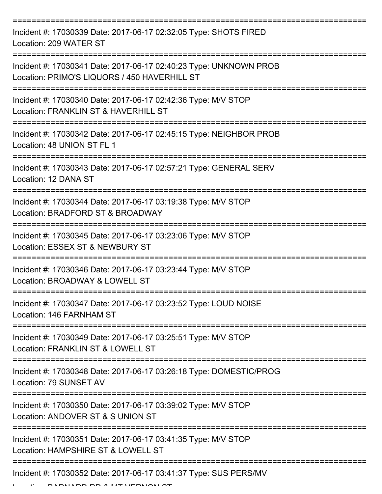| Incident #: 17030339 Date: 2017-06-17 02:32:05 Type: SHOTS FIRED<br>Location: 209 WATER ST                                                  |
|---------------------------------------------------------------------------------------------------------------------------------------------|
| Incident #: 17030341 Date: 2017-06-17 02:40:23 Type: UNKNOWN PROB<br>Location: PRIMO'S LIQUORS / 450 HAVERHILL ST                           |
| Incident #: 17030340 Date: 2017-06-17 02:42:36 Type: M/V STOP<br>Location: FRANKLIN ST & HAVERHILL ST                                       |
| Incident #: 17030342 Date: 2017-06-17 02:45:15 Type: NEIGHBOR PROB<br>Location: 48 UNION ST FL 1                                            |
| Incident #: 17030343 Date: 2017-06-17 02:57:21 Type: GENERAL SERV<br>Location: 12 DANA ST                                                   |
| Incident #: 17030344 Date: 2017-06-17 03:19:38 Type: M/V STOP<br>Location: BRADFORD ST & BROADWAY                                           |
| Incident #: 17030345 Date: 2017-06-17 03:23:06 Type: M/V STOP<br>Location: ESSEX ST & NEWBURY ST                                            |
| Incident #: 17030346 Date: 2017-06-17 03:23:44 Type: M/V STOP<br>Location: BROADWAY & LOWELL ST                                             |
| Incident #: 17030347 Date: 2017-06-17 03:23:52 Type: LOUD NOISE<br>Location: 146 FARNHAM ST                                                 |
| Incident #: 17030349 Date: 2017-06-17 03:25:51 Type: M/V STOP<br>Location: FRANKLIN ST & LOWELL ST                                          |
| Incident #: 17030348 Date: 2017-06-17 03:26:18 Type: DOMESTIC/PROG<br>Location: 79 SUNSET AV                                                |
| :====================================<br>Incident #: 17030350 Date: 2017-06-17 03:39:02 Type: M/V STOP<br>Location: ANDOVER ST & S UNION ST |
| Incident #: 17030351 Date: 2017-06-17 03:41:35 Type: M/V STOP<br>Location: HAMPSHIRE ST & LOWELL ST                                         |
| Incident #: 17030352 Date: 2017-06-17 03:41:37 Type: SUS PERS/MV                                                                            |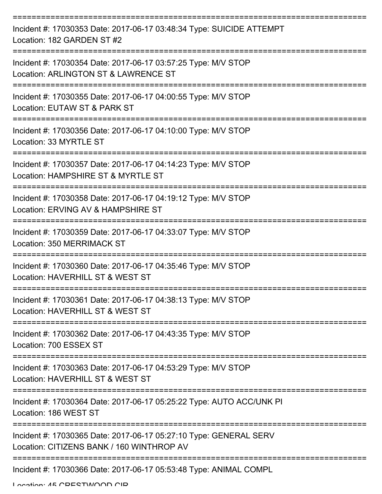| Incident #: 17030353 Date: 2017-06-17 03:48:34 Type: SUICIDE ATTEMPT<br>Location: 182 GARDEN ST #2             |
|----------------------------------------------------------------------------------------------------------------|
| Incident #: 17030354 Date: 2017-06-17 03:57:25 Type: M/V STOP<br>Location: ARLINGTON ST & LAWRENCE ST          |
| Incident #: 17030355 Date: 2017-06-17 04:00:55 Type: M/V STOP<br>Location: EUTAW ST & PARK ST                  |
| Incident #: 17030356 Date: 2017-06-17 04:10:00 Type: M/V STOP<br>Location: 33 MYRTLE ST                        |
| Incident #: 17030357 Date: 2017-06-17 04:14:23 Type: M/V STOP<br>Location: HAMPSHIRE ST & MYRTLE ST            |
| Incident #: 17030358 Date: 2017-06-17 04:19:12 Type: M/V STOP<br>Location: ERVING AV & HAMPSHIRE ST            |
| Incident #: 17030359 Date: 2017-06-17 04:33:07 Type: M/V STOP<br>Location: 350 MERRIMACK ST                    |
| Incident #: 17030360 Date: 2017-06-17 04:35:46 Type: M/V STOP<br>Location: HAVERHILL ST & WEST ST              |
| Incident #: 17030361 Date: 2017-06-17 04:38:13 Type: M/V STOP<br>Location: HAVERHILL ST & WEST ST              |
| Incident #: 17030362 Date: 2017-06-17 04:43:35 Type: M/V STOP<br>Location: 700 ESSEX ST                        |
| Incident #: 17030363 Date: 2017-06-17 04:53:29 Type: M/V STOP<br>Location: HAVERHILL ST & WEST ST              |
| Incident #: 17030364 Date: 2017-06-17 05:25:22 Type: AUTO ACC/UNK PI<br>Location: 186 WEST ST                  |
| Incident #: 17030365 Date: 2017-06-17 05:27:10 Type: GENERAL SERV<br>Location: CITIZENS BANK / 160 WINTHROP AV |
| Incident #: 17030366 Date: 2017-06-17 05:53:48 Type: ANIMAL COMPL                                              |

Location: 45 CDECTWOOD CID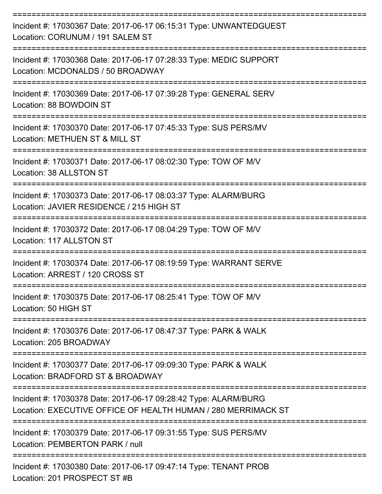| Incident #: 17030367 Date: 2017-06-17 06:15:31 Type: UNWANTEDGUEST<br>Location: CORUNUM / 191 SALEM ST                           |
|----------------------------------------------------------------------------------------------------------------------------------|
| Incident #: 17030368 Date: 2017-06-17 07:28:33 Type: MEDIC SUPPORT<br>Location: MCDONALDS / 50 BROADWAY                          |
| Incident #: 17030369 Date: 2017-06-17 07:39:28 Type: GENERAL SERV<br>Location: 88 BOWDOIN ST                                     |
| Incident #: 17030370 Date: 2017-06-17 07:45:33 Type: SUS PERS/MV<br>Location: METHUEN ST & MILL ST                               |
| Incident #: 17030371 Date: 2017-06-17 08:02:30 Type: TOW OF M/V<br>Location: 38 ALLSTON ST                                       |
| Incident #: 17030373 Date: 2017-06-17 08:03:37 Type: ALARM/BURG<br>Location: JAVIER RESIDENCE / 215 HIGH ST                      |
| Incident #: 17030372 Date: 2017-06-17 08:04:29 Type: TOW OF M/V<br>Location: 117 ALLSTON ST                                      |
| Incident #: 17030374 Date: 2017-06-17 08:19:59 Type: WARRANT SERVE<br>Location: ARREST / 120 CROSS ST                            |
| Incident #: 17030375 Date: 2017-06-17 08:25:41 Type: TOW OF M/V<br>Location: 50 HIGH ST                                          |
| ==================<br>Incident #: 17030376 Date: 2017-06-17 08:47:37 Type: PARK & WALK<br>Location: 205 BROADWAY                 |
| Incident #: 17030377 Date: 2017-06-17 09:09:30 Type: PARK & WALK<br>Location: BRADFORD ST & BROADWAY                             |
| Incident #: 17030378 Date: 2017-06-17 09:28:42 Type: ALARM/BURG<br>Location: EXECUTIVE OFFICE OF HEALTH HUMAN / 280 MERRIMACK ST |
| Incident #: 17030379 Date: 2017-06-17 09:31:55 Type: SUS PERS/MV<br>Location: PEMBERTON PARK / null                              |
| Incident #: 17030380 Date: 2017-06-17 09:47:14 Type: TENANT PROB                                                                 |

Location: 201 PROSPECT ST #B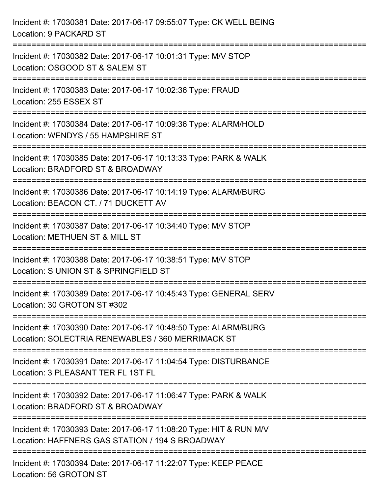| Incident #: 17030381 Date: 2017-06-17 09:55:07 Type: CK WELL BEING<br>Location: 9 PACKARD ST                                                                                                      |
|---------------------------------------------------------------------------------------------------------------------------------------------------------------------------------------------------|
| Incident #: 17030382 Date: 2017-06-17 10:01:31 Type: M/V STOP<br>Location: OSGOOD ST & SALEM ST                                                                                                   |
| Incident #: 17030383 Date: 2017-06-17 10:02:36 Type: FRAUD<br>Location: 255 ESSEX ST<br>________________________________                                                                          |
| Incident #: 17030384 Date: 2017-06-17 10:09:36 Type: ALARM/HOLD<br>Location: WENDYS / 55 HAMPSHIRE ST                                                                                             |
| Incident #: 17030385 Date: 2017-06-17 10:13:33 Type: PARK & WALK<br>Location: BRADFORD ST & BROADWAY<br>======================                                                                    |
| Incident #: 17030386 Date: 2017-06-17 10:14:19 Type: ALARM/BURG<br>Location: BEACON CT. / 71 DUCKETT AV                                                                                           |
| Incident #: 17030387 Date: 2017-06-17 10:34:40 Type: M/V STOP<br>Location: METHUEN ST & MILL ST                                                                                                   |
| Incident #: 17030388 Date: 2017-06-17 10:38:51 Type: M/V STOP<br>Location: S UNION ST & SPRINGFIELD ST                                                                                            |
| Incident #: 17030389 Date: 2017-06-17 10:45:43 Type: GENERAL SERV<br>Location: 30 GROTON ST #302                                                                                                  |
| Incident #: 17030390 Date: 2017-06-17 10:48:50 Type: ALARM/BURG<br>Location: SOLECTRIA RENEWABLES / 360 MERRIMACK ST<br>==================================<br>=================================== |
| Incident #: 17030391 Date: 2017-06-17 11:04:54 Type: DISTURBANCE<br>Location: 3 PLEASANT TER FL 1ST FL                                                                                            |
| Incident #: 17030392 Date: 2017-06-17 11:06:47 Type: PARK & WALK<br>Location: BRADFORD ST & BROADWAY                                                                                              |
| Incident #: 17030393 Date: 2017-06-17 11:08:20 Type: HIT & RUN M/V<br>Location: HAFFNERS GAS STATION / 194 S BROADWAY<br>=====================================                                    |
| Incident #: 17030394 Date: 2017-06-17 11:22:07 Type: KEEP PEACE<br>Location: 56 GROTON ST                                                                                                         |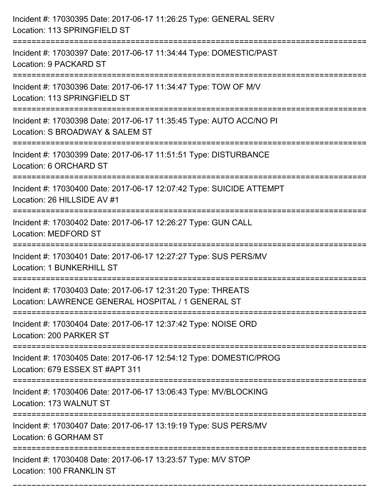| Incident #: 17030395 Date: 2017-06-17 11:26:25 Type: GENERAL SERV<br>Location: 113 SPRINGFIELD ST                  |
|--------------------------------------------------------------------------------------------------------------------|
| Incident #: 17030397 Date: 2017-06-17 11:34:44 Type: DOMESTIC/PAST<br>Location: 9 PACKARD ST                       |
| Incident #: 17030396 Date: 2017-06-17 11:34:47 Type: TOW OF M/V<br>Location: 113 SPRINGFIELD ST                    |
| Incident #: 17030398 Date: 2017-06-17 11:35:45 Type: AUTO ACC/NO PI<br>Location: S BROADWAY & SALEM ST             |
| Incident #: 17030399 Date: 2017-06-17 11:51:51 Type: DISTURBANCE<br>Location: 6 ORCHARD ST                         |
| Incident #: 17030400 Date: 2017-06-17 12:07:42 Type: SUICIDE ATTEMPT<br>Location: 26 HILLSIDE AV #1                |
| Incident #: 17030402 Date: 2017-06-17 12:26:27 Type: GUN CALL<br>Location: MEDFORD ST                              |
| Incident #: 17030401 Date: 2017-06-17 12:27:27 Type: SUS PERS/MV<br><b>Location: 1 BUNKERHILL ST</b>               |
| Incident #: 17030403 Date: 2017-06-17 12:31:20 Type: THREATS<br>Location: LAWRENCE GENERAL HOSPITAL / 1 GENERAL ST |
| Incident #: 17030404 Date: 2017-06-17 12:37:42 Type: NOISE ORD<br>Location: 200 PARKER ST                          |
| Incident #: 17030405 Date: 2017-06-17 12:54:12 Type: DOMESTIC/PROG<br>Location: 679 ESSEX ST #APT 311              |
| Incident #: 17030406 Date: 2017-06-17 13:06:43 Type: MV/BLOCKING<br>Location: 173 WALNUT ST                        |
| Incident #: 17030407 Date: 2017-06-17 13:19:19 Type: SUS PERS/MV<br>Location: 6 GORHAM ST                          |
| Incident #: 17030408 Date: 2017-06-17 13:23:57 Type: M/V STOP<br>Location: 100 FRANKLIN ST                         |

===========================================================================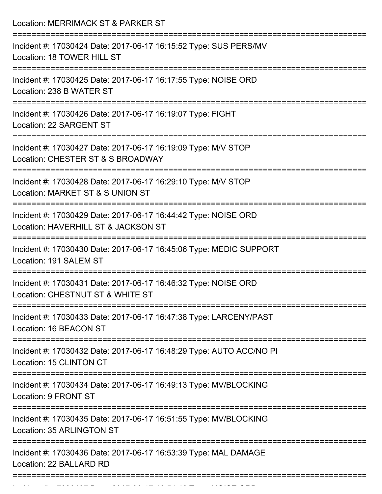| Incident #: 17030424 Date: 2017-06-17 16:15:52 Type: SUS PERS/MV<br>Location: 18 TOWER HILL ST<br>Incident #: 17030425 Date: 2017-06-17 16:17:55 Type: NOISE ORD<br>Location: 238 B WATER ST<br>Incident #: 17030426 Date: 2017-06-17 16:19:07 Type: FIGHT<br>Location: 22 SARGENT ST<br>Incident #: 17030427 Date: 2017-06-17 16:19:09 Type: M/V STOP<br>Location: CHESTER ST & S BROADWAY<br>Incident #: 17030428 Date: 2017-06-17 16:29:10 Type: M/V STOP<br>Location: MARKET ST & S UNION ST<br>Incident #: 17030429 Date: 2017-06-17 16:44:42 Type: NOISE ORD<br>Location: HAVERHILL ST & JACKSON ST |
|-----------------------------------------------------------------------------------------------------------------------------------------------------------------------------------------------------------------------------------------------------------------------------------------------------------------------------------------------------------------------------------------------------------------------------------------------------------------------------------------------------------------------------------------------------------------------------------------------------------|
|                                                                                                                                                                                                                                                                                                                                                                                                                                                                                                                                                                                                           |
|                                                                                                                                                                                                                                                                                                                                                                                                                                                                                                                                                                                                           |
|                                                                                                                                                                                                                                                                                                                                                                                                                                                                                                                                                                                                           |
|                                                                                                                                                                                                                                                                                                                                                                                                                                                                                                                                                                                                           |
|                                                                                                                                                                                                                                                                                                                                                                                                                                                                                                                                                                                                           |
|                                                                                                                                                                                                                                                                                                                                                                                                                                                                                                                                                                                                           |
| Incident #: 17030430 Date: 2017-06-17 16:45:06 Type: MEDIC SUPPORT<br>Location: 191 SALEM ST                                                                                                                                                                                                                                                                                                                                                                                                                                                                                                              |
| Incident #: 17030431 Date: 2017-06-17 16:46:32 Type: NOISE ORD<br>Location: CHESTNUT ST & WHITE ST                                                                                                                                                                                                                                                                                                                                                                                                                                                                                                        |
| Incident #: 17030433 Date: 2017-06-17 16:47:38 Type: LARCENY/PAST<br>Location: 16 BEACON ST<br>======================                                                                                                                                                                                                                                                                                                                                                                                                                                                                                     |
| Incident #: 17030432 Date: 2017-06-17 16:48:29 Type: AUTO ACC/NO PI<br>Location: 15 CLINTON CT                                                                                                                                                                                                                                                                                                                                                                                                                                                                                                            |
| Incident #: 17030434 Date: 2017-06-17 16:49:13 Type: MV/BLOCKING<br>Location: 9 FRONT ST                                                                                                                                                                                                                                                                                                                                                                                                                                                                                                                  |
| Incident #: 17030435 Date: 2017-06-17 16:51:55 Type: MV/BLOCKING<br><b>Location: 35 ARLINGTON ST</b>                                                                                                                                                                                                                                                                                                                                                                                                                                                                                                      |
| Incident #: 17030436 Date: 2017-06-17 16:53:39 Type: MAL DAMAGE<br>Location: 22 BALLARD RD                                                                                                                                                                                                                                                                                                                                                                                                                                                                                                                |

Incident #: 17030437 Date: 2017 06 1704 Date: 2017 Date: NOISE ORD<br>.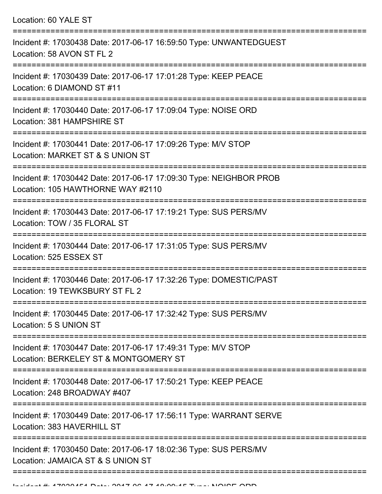Location: 60 YALE ST =========================================================================== Incident #: 17030438 Date: 2017-06-17 16:59:50 Type: UNWANTEDGUEST Location: 58 AVON ST FL 2 =========================================================================== Incident #: 17030439 Date: 2017-06-17 17:01:28 Type: KEEP PEACE Location: 6 DIAMOND ST #11 =========================================================================== Incident #: 17030440 Date: 2017-06-17 17:09:04 Type: NOISE ORD Location: 381 HAMPSHIRE ST =========================================================================== Incident #: 17030441 Date: 2017-06-17 17:09:26 Type: M/V STOP Location: MARKET ST & S UNION ST =========================================================================== Incident #: 17030442 Date: 2017-06-17 17:09:30 Type: NEIGHBOR PROB Location: 105 HAWTHORNE WAY #2110 =========================================================================== Incident #: 17030443 Date: 2017-06-17 17:19:21 Type: SUS PERS/MV Location: TOW / 35 FLORAL ST =========================================================================== Incident #: 17030444 Date: 2017-06-17 17:31:05 Type: SUS PERS/MV Location: 525 ESSEX ST =========================================================================== Incident #: 17030446 Date: 2017-06-17 17:32:26 Type: DOMESTIC/PAST Location: 19 TEWKSBURY ST FL 2 =========================================================================== Incident #: 17030445 Date: 2017-06-17 17:32:42 Type: SUS PERS/MV Location: 5 S UNION ST =========================================================================== Incident #: 17030447 Date: 2017-06-17 17:49:31 Type: M/V STOP Location: BERKELEY ST & MONTGOMERY ST =========================================================================== Incident #: 17030448 Date: 2017-06-17 17:50:21 Type: KEEP PEACE Location: 248 BROADWAY #407 =========================================================================== Incident #: 17030449 Date: 2017-06-17 17:56:11 Type: WARRANT SERVE Location: 383 HAVERHILL ST =========================================================================== Incident #: 17030450 Date: 2017-06-17 18:02:36 Type: SUS PERS/MV Location: JAMAICA ST & S UNION ST

===========================================================================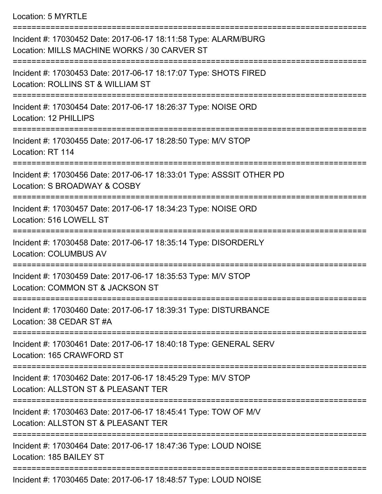Location: 5 MYRTLE

| Incident #: 17030452 Date: 2017-06-17 18:11:58 Type: ALARM/BURG<br>Location: MILLS MACHINE WORKS / 30 CARVER ST |
|-----------------------------------------------------------------------------------------------------------------|
| Incident #: 17030453 Date: 2017-06-17 18:17:07 Type: SHOTS FIRED<br>Location: ROLLINS ST & WILLIAM ST           |
| Incident #: 17030454 Date: 2017-06-17 18:26:37 Type: NOISE ORD<br><b>Location: 12 PHILLIPS</b>                  |
| Incident #: 17030455 Date: 2017-06-17 18:28:50 Type: M/V STOP<br>Location: RT 114                               |
| Incident #: 17030456 Date: 2017-06-17 18:33:01 Type: ASSSIT OTHER PD<br>Location: S BROADWAY & COSBY            |
| Incident #: 17030457 Date: 2017-06-17 18:34:23 Type: NOISE ORD<br>Location: 516 LOWELL ST                       |
| Incident #: 17030458 Date: 2017-06-17 18:35:14 Type: DISORDERLY<br><b>Location: COLUMBUS AV</b>                 |
| Incident #: 17030459 Date: 2017-06-17 18:35:53 Type: M/V STOP<br>Location: COMMON ST & JACKSON ST               |
| Incident #: 17030460 Date: 2017-06-17 18:39:31 Type: DISTURBANCE<br>Location: 38 CEDAR ST #A                    |
| Incident #: 17030461 Date: 2017-06-17 18:40:18 Type: GENERAL SERV<br>Location: 165 CRAWFORD ST                  |
| Incident #: 17030462 Date: 2017-06-17 18:45:29 Type: M/V STOP<br>Location: ALLSTON ST & PLEASANT TER            |
| Incident #: 17030463 Date: 2017-06-17 18:45:41 Type: TOW OF M/V<br>Location: ALLSTON ST & PLEASANT TER          |
| Incident #: 17030464 Date: 2017-06-17 18:47:36 Type: LOUD NOISE<br>Location: 185 BAILEY ST                      |
| Incident #: 17030465 Date: 2017-06-17 18:48:57 Type: LOUD NOISE                                                 |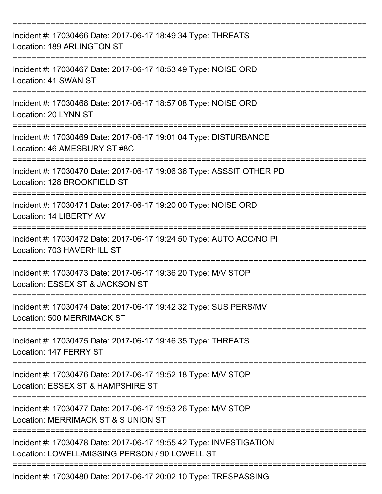| Incident #: 17030466 Date: 2017-06-17 18:49:34 Type: THREATS<br>Location: 189 ARLINGTON ST                           |
|----------------------------------------------------------------------------------------------------------------------|
| Incident #: 17030467 Date: 2017-06-17 18:53:49 Type: NOISE ORD<br>Location: 41 SWAN ST                               |
| Incident #: 17030468 Date: 2017-06-17 18:57:08 Type: NOISE ORD<br>Location: 20 LYNN ST                               |
| Incident #: 17030469 Date: 2017-06-17 19:01:04 Type: DISTURBANCE<br>Location: 46 AMESBURY ST #8C                     |
| Incident #: 17030470 Date: 2017-06-17 19:06:36 Type: ASSSIT OTHER PD<br>Location: 128 BROOKFIELD ST                  |
| Incident #: 17030471 Date: 2017-06-17 19:20:00 Type: NOISE ORD<br>Location: 14 LIBERTY AV                            |
| Incident #: 17030472 Date: 2017-06-17 19:24:50 Type: AUTO ACC/NO PI<br>Location: 703 HAVERHILL ST                    |
| ========<br>Incident #: 17030473 Date: 2017-06-17 19:36:20 Type: M/V STOP<br>Location: ESSEX ST & JACKSON ST         |
| Incident #: 17030474 Date: 2017-06-17 19:42:32 Type: SUS PERS/MV<br>Location: 500 MERRIMACK ST                       |
| Incident #: 17030475 Date: 2017-06-17 19:46:35 Type: THREATS<br>Location: 147 FERRY ST                               |
| Incident #: 17030476 Date: 2017-06-17 19:52:18 Type: M/V STOP<br>Location: ESSEX ST & HAMPSHIRE ST                   |
| Incident #: 17030477 Date: 2017-06-17 19:53:26 Type: M/V STOP<br>Location: MERRIMACK ST & S UNION ST                 |
| Incident #: 17030478 Date: 2017-06-17 19:55:42 Type: INVESTIGATION<br>Location: LOWELL/MISSING PERSON / 90 LOWELL ST |
| Incident #: 17030480 Date: 2017-06-17 20:02:10 Type: TRESPASSING                                                     |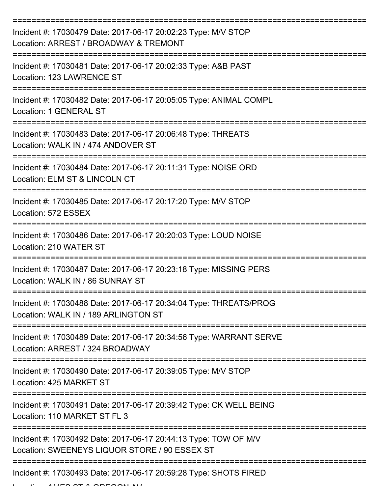| Incident #: 17030479 Date: 2017-06-17 20:02:23 Type: M/V STOP<br>Location: ARREST / BROADWAY & TREMONT           |
|------------------------------------------------------------------------------------------------------------------|
| Incident #: 17030481 Date: 2017-06-17 20:02:33 Type: A&B PAST<br>Location: 123 LAWRENCE ST                       |
| Incident #: 17030482 Date: 2017-06-17 20:05:05 Type: ANIMAL COMPL<br>Location: 1 GENERAL ST                      |
| Incident #: 17030483 Date: 2017-06-17 20:06:48 Type: THREATS<br>Location: WALK IN / 474 ANDOVER ST               |
| Incident #: 17030484 Date: 2017-06-17 20:11:31 Type: NOISE ORD<br>Location: ELM ST & LINCOLN CT                  |
| Incident #: 17030485 Date: 2017-06-17 20:17:20 Type: M/V STOP<br>Location: 572 ESSEX                             |
| Incident #: 17030486 Date: 2017-06-17 20:20:03 Type: LOUD NOISE<br>Location: 210 WATER ST                        |
| Incident #: 17030487 Date: 2017-06-17 20:23:18 Type: MISSING PERS<br>Location: WALK IN / 86 SUNRAY ST            |
| Incident #: 17030488 Date: 2017-06-17 20:34:04 Type: THREATS/PROG<br>Location: WALK IN / 189 ARLINGTON ST        |
| Incident #: 17030489 Date: 2017-06-17 20:34:56 Type: WARRANT SERVE<br>Location: ARREST / 324 BROADWAY            |
| Incident #: 17030490 Date: 2017-06-17 20:39:05 Type: M/V STOP<br>Location: 425 MARKET ST                         |
| Incident #: 17030491 Date: 2017-06-17 20:39:42 Type: CK WELL BEING<br>Location: 110 MARKET ST FL 3               |
| Incident #: 17030492 Date: 2017-06-17 20:44:13 Type: TOW OF M/V<br>Location: SWEENEYS LIQUOR STORE / 90 ESSEX ST |
| Incident #: 17030493 Date: 2017-06-17 20:59:28 Type: SHOTS FIRED<br>ANIER OT A AREAAN AU                         |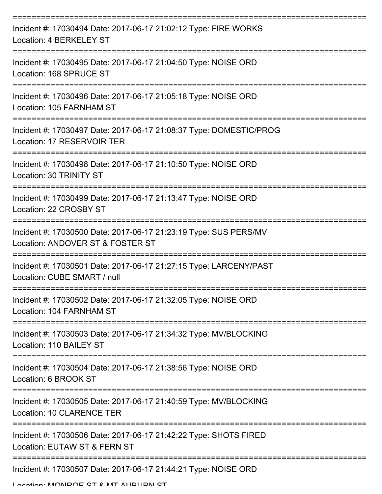| Incident #: 17030494 Date: 2017-06-17 21:02:12 Type: FIRE WORKS<br>Location: 4 BERKELEY ST                                |
|---------------------------------------------------------------------------------------------------------------------------|
| Incident #: 17030495 Date: 2017-06-17 21:04:50 Type: NOISE ORD<br>Location: 168 SPRUCE ST                                 |
| Incident #: 17030496 Date: 2017-06-17 21:05:18 Type: NOISE ORD<br>Location: 105 FARNHAM ST                                |
| Incident #: 17030497 Date: 2017-06-17 21:08:37 Type: DOMESTIC/PROG<br>Location: 17 RESERVOIR TER                          |
| Incident #: 17030498 Date: 2017-06-17 21:10:50 Type: NOISE ORD<br>Location: 30 TRINITY ST                                 |
| Incident #: 17030499 Date: 2017-06-17 21:13:47 Type: NOISE ORD<br>Location: 22 CROSBY ST                                  |
| =================<br>Incident #: 17030500 Date: 2017-06-17 21:23:19 Type: SUS PERS/MV<br>Location: ANDOVER ST & FOSTER ST |
| Incident #: 17030501 Date: 2017-06-17 21:27:15 Type: LARCENY/PAST<br>Location: CUBE SMART / null                          |
| Incident #: 17030502 Date: 2017-06-17 21:32:05 Type: NOISE ORD<br>Location: 104 FARNHAM ST                                |
| Incident #: 17030503 Date: 2017-06-17 21:34:32 Type: MV/BLOCKING<br>Location: 110 BAILEY ST                               |
| Incident #: 17030504 Date: 2017-06-17 21:38:56 Type: NOISE ORD<br>Location: 6 BROOK ST                                    |
| Incident #: 17030505 Date: 2017-06-17 21:40:59 Type: MV/BLOCKING<br><b>Location: 10 CLARENCE TER</b>                      |
| Incident #: 17030506 Date: 2017-06-17 21:42:22 Type: SHOTS FIRED<br>Location: EUTAW ST & FERN ST                          |
| Incident #: 17030507 Date: 2017-06-17 21:44:21 Type: NOISE ORD                                                            |

Location: MONDOE ST & MT ALIBURN ST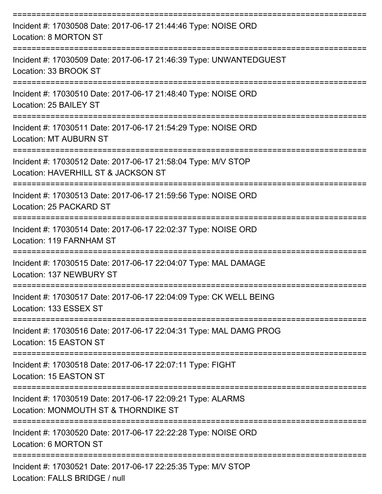| Incident #: 17030508 Date: 2017-06-17 21:44:46 Type: NOISE ORD<br>Location: 8 MORTON ST                        |
|----------------------------------------------------------------------------------------------------------------|
| Incident #: 17030509 Date: 2017-06-17 21:46:39 Type: UNWANTEDGUEST<br>Location: 33 BROOK ST                    |
| Incident #: 17030510 Date: 2017-06-17 21:48:40 Type: NOISE ORD<br>Location: 25 BAILEY ST                       |
| Incident #: 17030511 Date: 2017-06-17 21:54:29 Type: NOISE ORD<br><b>Location: MT AUBURN ST</b>                |
| Incident #: 17030512 Date: 2017-06-17 21:58:04 Type: M/V STOP<br>Location: HAVERHILL ST & JACKSON ST           |
| Incident #: 17030513 Date: 2017-06-17 21:59:56 Type: NOISE ORD<br>Location: 25 PACKARD ST<br>================= |
| Incident #: 17030514 Date: 2017-06-17 22:02:37 Type: NOISE ORD<br>Location: 119 FARNHAM ST                     |
| Incident #: 17030515 Date: 2017-06-17 22:04:07 Type: MAL DAMAGE<br>Location: 137 NEWBURY ST                    |
| Incident #: 17030517 Date: 2017-06-17 22:04:09 Type: CK WELL BEING<br>Location: 133 ESSEX ST                   |
| Incident #: 17030516 Date: 2017-06-17 22:04:31 Type: MAL DAMG PROG<br>Location: 15 EASTON ST                   |
| Incident #: 17030518 Date: 2017-06-17 22:07:11 Type: FIGHT<br>Location: 15 EASTON ST                           |
| Incident #: 17030519 Date: 2017-06-17 22:09:21 Type: ALARMS<br>Location: MONMOUTH ST & THORNDIKE ST            |
| Incident #: 17030520 Date: 2017-06-17 22:22:28 Type: NOISE ORD<br>Location: 6 MORTON ST                        |
| Incident #: 17030521 Date: 2017-06-17 22:25:35 Type: M/V STOP<br>Location: FALLS BRIDGE / null                 |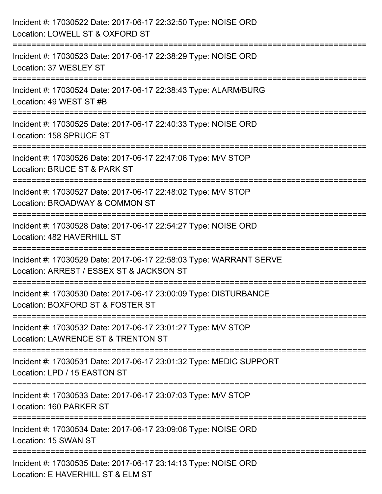| Incident #: 17030522 Date: 2017-06-17 22:32:50 Type: NOISE ORD<br>Location: LOWELL ST & OXFORD ST                                |
|----------------------------------------------------------------------------------------------------------------------------------|
| Incident #: 17030523 Date: 2017-06-17 22:38:29 Type: NOISE ORD<br>Location: 37 WESLEY ST                                         |
| Incident #: 17030524 Date: 2017-06-17 22:38:43 Type: ALARM/BURG<br>Location: 49 WEST ST #B<br>================================== |
| Incident #: 17030525 Date: 2017-06-17 22:40:33 Type: NOISE ORD<br>Location: 158 SPRUCE ST                                        |
| Incident #: 17030526 Date: 2017-06-17 22:47:06 Type: M/V STOP<br>Location: BRUCE ST & PARK ST                                    |
| Incident #: 17030527 Date: 2017-06-17 22:48:02 Type: M/V STOP<br>Location: BROADWAY & COMMON ST                                  |
| :====================<br>Incident #: 17030528 Date: 2017-06-17 22:54:27 Type: NOISE ORD<br>Location: 482 HAVERHILL ST            |
| Incident #: 17030529 Date: 2017-06-17 22:58:03 Type: WARRANT SERVE<br>Location: ARREST / ESSEX ST & JACKSON ST                   |
| Incident #: 17030530 Date: 2017-06-17 23:00:09 Type: DISTURBANCE<br>Location: BOXFORD ST & FOSTER ST                             |
| Incident #: 17030532 Date: 2017-06-17 23:01:27 Type: M/V STOP<br>Location: LAWRENCE ST & TRENTON ST                              |
| Incident #: 17030531 Date: 2017-06-17 23:01:32 Type: MEDIC SUPPORT<br>Location: LPD / 15 EASTON ST                               |
| Incident #: 17030533 Date: 2017-06-17 23:07:03 Type: M/V STOP<br>Location: 160 PARKER ST                                         |
| Incident #: 17030534 Date: 2017-06-17 23:09:06 Type: NOISE ORD<br>Location: 15 SWAN ST                                           |
| Incident #: 17030535 Date: 2017-06-17 23:14:13 Type: NOISE ORD<br>Location: E HAVERHILL ST & ELM ST                              |